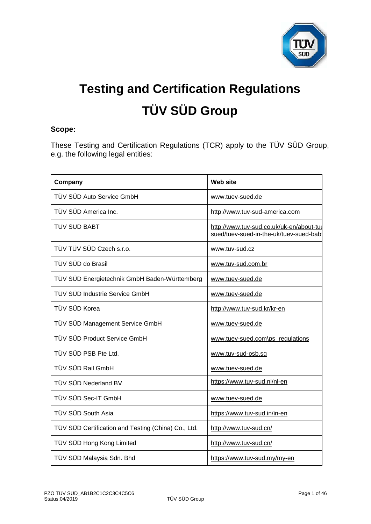

# **Testing and Certification Regulations TÜV SÜD Group**

# **Scope:**

These Testing and Certification Regulations (TCR) apply to the TÜV SÜD Group, e.g. the following legal entities:

| Company                                             | Web site                                                                           |
|-----------------------------------------------------|------------------------------------------------------------------------------------|
| TÜV SÜD Auto Service GmbH                           | www.tuev-sued.de                                                                   |
| TÜV SÜD America Inc.                                | http://www.tuv-sud-america.com                                                     |
| <b>TUV SUD BABT</b>                                 | http://www.tuv-sud.co.uk/uk-en/about-tue<br>sued/tuev-sued-in-the-uk/tuev-sued-bab |
| TÜV TÜV SÜD Czech s.r.o.                            | www.tuv-sud.cz                                                                     |
| TÜV SÜD do Brasil                                   | www.tuv-sud.com.br                                                                 |
| TÜV SÜD Energietechnik GmbH Baden-Württemberg       | www.tuev-sued.de                                                                   |
| TÜV SÜD Industrie Service GmbH                      | www.tuev-sued.de                                                                   |
| TÜV SÜD Korea                                       | http://www.tuv-sud.kr/kr-en                                                        |
| TÜV SÜD Management Service GmbH                     | www.tuev-sued.de                                                                   |
| TÜV SÜD Product Service GmbH                        | www.tuev-sued.com\ps_regulations                                                   |
| TÜV SÜD PSB Pte Ltd.                                | www.tuv-sud-psb.sg                                                                 |
| TÜV SÜD Rail GmbH                                   | www.tuev-sued.de                                                                   |
| TÜV SÜD Nederland BV                                | https://www.tuv-sud.nl/nl-en                                                       |
| TÜV SÜD Sec-IT GmbH                                 | www.tuev-sued.de                                                                   |
| TÜV SÜD South Asia                                  | https://www.tuv-sud.in/in-en                                                       |
| TÜV SÜD Certification and Testing (China) Co., Ltd. | http://www.tuv-sud.cn/                                                             |
| TÜV SÜD Hong Kong Limited                           | http://www.tuv-sud.cn/                                                             |
| TÜV SÜD Malaysia Sdn. Bhd                           | https://www.tuv-sud.my/my-en                                                       |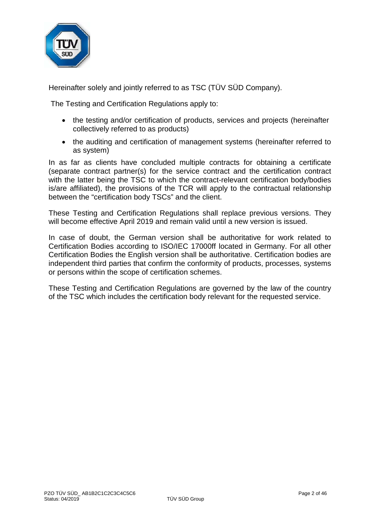

Hereinafter solely and jointly referred to as TSC (TÜV SÜD Company).

The Testing and Certification Regulations apply to:

- the testing and/or certification of products, services and projects (hereinafter collectively referred to as products)
- the auditing and certification of management systems (hereinafter referred to as system)

In as far as clients have concluded multiple contracts for obtaining a certificate (separate contract partner(s) for the service contract and the certification contract with the latter being the TSC to which the contract-relevant certification body/bodies is/are affiliated), the provisions of the TCR will apply to the contractual relationship between the "certification body TSCs" and the client.

These Testing and Certification Regulations shall replace previous versions. They will become effective April 2019 and remain valid until a new version is issued.

In case of doubt, the German version shall be authoritative for work related to Certification Bodies according to ISO/IEC 17000ff located in Germany. For all other Certification Bodies the English version shall be authoritative. Certification bodies are independent third parties that confirm the conformity of products, processes, systems or persons within the scope of certification schemes.

These Testing and Certification Regulations are governed by the law of the country of the TSC which includes the certification body relevant for the requested service.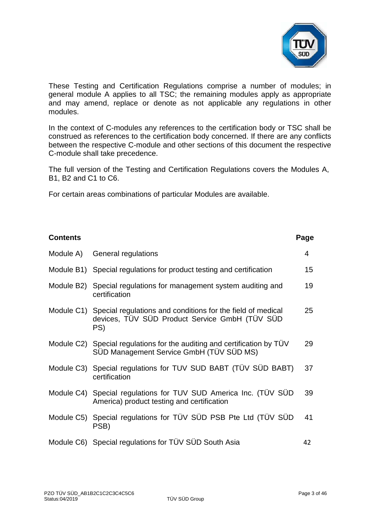

These Testing and Certification Regulations comprise a number of modules; in general module A applies to all TSC; the remaining modules apply as appropriate and may amend, replace or denote as not applicable any regulations in other modules.

In the context of C-modules any references to the certification body or TSC shall be construed as references to the certification body concerned. If there are any conflicts between the respective C-module and other sections of this document the respective C-module shall take precedence.

The full version of the Testing and Certification Regulations covers the Modules A, B1, B2 and C1 to C6.

For certain areas combinations of particular Modules are available.

| <b>Contents</b> |                                                                                                                                 | Page |
|-----------------|---------------------------------------------------------------------------------------------------------------------------------|------|
| Module A)       | General regulations                                                                                                             | 4    |
|                 | Module B1) Special regulations for product testing and certification                                                            | 15   |
| Module B2)      | Special regulations for management system auditing and<br>certification                                                         | 19   |
|                 | Module C1) Special regulations and conditions for the field of medical<br>devices, TÜV SÜD Product Service GmbH (TÜV SÜD<br>PS) | 25   |
|                 | Module C2) Special regulations for the auditing and certification by TUV<br>SÜD Management Service GmbH (TÜV SÜD MS)            | 29   |
|                 | Module C3) Special regulations for TUV SUD BABT (TÜV SÜD BABT)<br>certification                                                 | 37   |
|                 | Module C4) Special regulations for TUV SUD America Inc. (TUV SUD<br>America) product testing and certification                  | 39   |
| Module C5)      | Special regulations for TÜV SÜD PSB Pte Ltd (TÜV SÜD<br>PSB)                                                                    | 41   |
|                 | Module C6) Special regulations for TÜV SÜD South Asia                                                                           | 42   |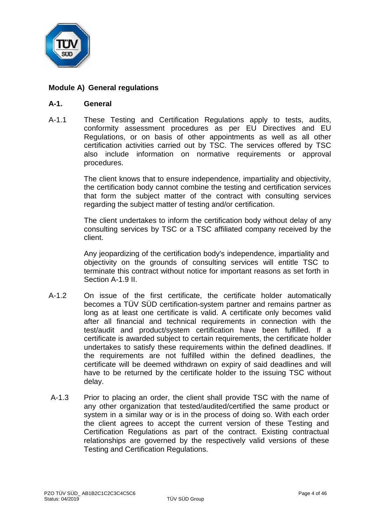

# **Module A) General regulations**

## **A-1. General**

A-1.1 These Testing and Certification Regulations apply to tests, audits, conformity assessment procedures as per EU Directives and EU Regulations, or on basis of other appointments as well as all other certification activities carried out by TSC. The services offered by TSC also include information on normative requirements or approval procedures.

> The client knows that to ensure independence, impartiality and objectivity, the certification body cannot combine the testing and certification services that form the subject matter of the contract with consulting services regarding the subject matter of testing and/or certification.

> The client undertakes to inform the certification body without delay of any consulting services by TSC or a TSC affiliated company received by the client.

> Any jeopardizing of the certification body's independence, impartiality and objectivity on the grounds of consulting services will entitle TSC to terminate this contract without notice for important reasons as set forth in Section A-1.9 II.

- A-1.2 On issue of the first certificate, the certificate holder automatically becomes a TÜV SÜD certification-system partner and remains partner as long as at least one certificate is valid. A certificate only becomes valid after all financial and technical requirements in connection with the test/audit and product/system certification have been fulfilled. If a certificate is awarded subject to certain requirements, the certificate holder undertakes to satisfy these requirements within the defined deadlines. If the requirements are not fulfilled within the defined deadlines, the certificate will be deemed withdrawn on expiry of said deadlines and will have to be returned by the certificate holder to the issuing TSC without delay.
- A-1.3 Prior to placing an order, the client shall provide TSC with the name of any other organization that tested/audited/certified the same product or system in a similar way or is in the process of doing so. With each order the client agrees to accept the current version of these Testing and Certification Regulations as part of the contract. Existing contractual relationships are governed by the respectively valid versions of these Testing and Certification Regulations.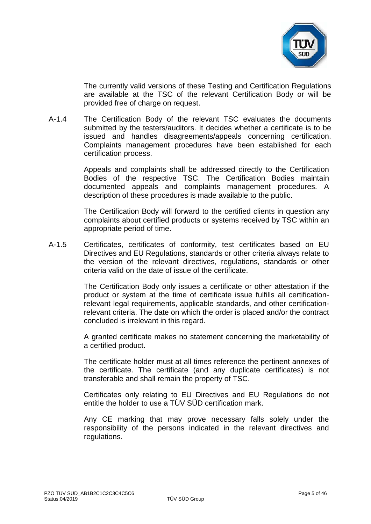

The currently valid versions of these Testing and Certification Regulations are available at the TSC of the relevant Certification Body or will be provided free of charge on request.

A-1.4 The Certification Body of the relevant TSC evaluates the documents submitted by the testers/auditors. It decides whether a certificate is to be issued and handles disagreements/appeals concerning certification. Complaints management procedures have been established for each certification process.

> Appeals and complaints shall be addressed directly to the Certification Bodies of the respective TSC. The Certification Bodies maintain documented appeals and complaints management procedures. A description of these procedures is made available to the public.

> The Certification Body will forward to the certified clients in question any complaints about certified products or systems received by TSC within an appropriate period of time.

A-1.5 Certificates, certificates of conformity, test certificates based on EU Directives and EU Regulations, standards or other criteria always relate to the version of the relevant directives, regulations, standards or other criteria valid on the date of issue of the certificate.

> The Certification Body only issues a certificate or other attestation if the product or system at the time of certificate issue fulfills all certificationrelevant legal requirements, applicable standards, and other certificationrelevant criteria. The date on which the order is placed and/or the contract concluded is irrelevant in this regard.

> A granted certificate makes no statement concerning the marketability of a certified product.

> The certificate holder must at all times reference the pertinent annexes of the certificate. The certificate (and any duplicate certificates) is not transferable and shall remain the property of TSC.

> Certificates only relating to EU Directives and EU Regulations do not entitle the holder to use a TÜV SÜD certification mark.

> Any CE marking that may prove necessary falls solely under the responsibility of the persons indicated in the relevant directives and regulations.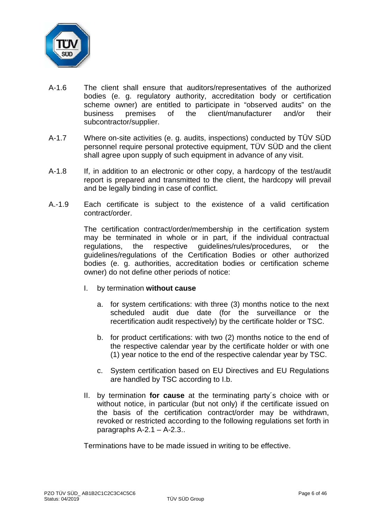

- A-1.6 The client shall ensure that auditors/representatives of the authorized bodies (e. g. regulatory authority, accreditation body or certification scheme owner) are entitled to participate in "observed audits" on the<br>business premises of the client/manufacturer and/or their business premises of the client/manufacturer and/or their subcontractor/supplier.
- A-1.7 Where on-site activities (e. g. audits, inspections) conducted by TÜV SÜD personnel require personal protective equipment, TÜV SÜD and the client shall agree upon supply of such equipment in advance of any visit.
- A-1.8 If, in addition to an electronic or other copy, a hardcopy of the test/audit report is prepared and transmitted to the client, the hardcopy will prevail and be legally binding in case of conflict.
- A.-1.9 Each certificate is subject to the existence of a valid certification contract/order.

The certification contract/order/membership in the certification system may be terminated in whole or in part, if the individual contractual regulations, the respective guidelines/rules/procedures, or the guidelines/regulations of the Certification Bodies or other authorized bodies (e. g. authorities, accreditation bodies or certification scheme owner) do not define other periods of notice:

- I. by termination **without cause**
	- a. for system certifications: with three (3) months notice to the next scheduled audit due date (for the surveillance or the recertification audit respectively) by the certificate holder or TSC.
	- b. for product certifications: with two (2) months notice to the end of the respective calendar year by the certificate holder or with one (1) year notice to the end of the respective calendar year by TSC.
	- c. System certification based on EU Directives and EU Regulations are handled by TSC according to I.b.
- II. by termination **for cause** at the terminating party´s choice with or without notice, in particular (but not only) if the certificate issued on the basis of the certification contract/order may be withdrawn, revoked or restricted according to the following regulations set forth in paragraphs  $A-2.1 - A-2.3$ .

Terminations have to be made issued in writing to be effective.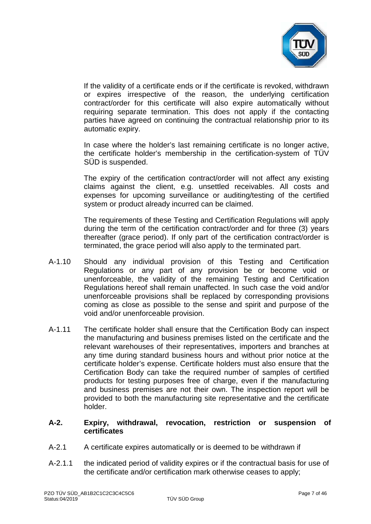

If the validity of a certificate ends or if the certificate is revoked, withdrawn or expires irrespective of the reason, the underlying certification contract/order for this certificate will also expire automatically without requiring separate termination. This does not apply if the contacting parties have agreed on continuing the contractual relationship prior to its automatic expiry.

In case where the holder's last remaining certificate is no longer active, the certificate holder's membership in the certification-system of TÜV SÜD is suspended.

The expiry of the certification contract/order will not affect any existing claims against the client, e.g. unsettled receivables. All costs and expenses for upcoming surveillance or auditing/testing of the certified system or product already incurred can be claimed.

The requirements of these Testing and Certification Regulations will apply during the term of the certification contract/order and for three (3) years thereafter (grace period). If only part of the certification contract/order is terminated, the grace period will also apply to the terminated part.

- A-1.10 Should any individual provision of this Testing and Certification Regulations or any part of any provision be or become void or unenforceable, the validity of the remaining Testing and Certification Regulations hereof shall remain unaffected. In such case the void and/or unenforceable provisions shall be replaced by corresponding provisions coming as close as possible to the sense and spirit and purpose of the void and/or unenforceable provision.
- A-1.11 The certificate holder shall ensure that the Certification Body can inspect the manufacturing and business premises listed on the certificate and the relevant warehouses of their representatives, importers and branches at any time during standard business hours and without prior notice at the certificate holder's expense. Certificate holders must also ensure that the Certification Body can take the required number of samples of certified products for testing purposes free of charge, even if the manufacturing and business premises are not their own. The inspection report will be provided to both the manufacturing site representative and the certificate holder.

## **A-2. Expiry, withdrawal, revocation, restriction or suspension of certificates**

- A-2.1 A certificate expires automatically or is deemed to be withdrawn if
- A-2.1.1 the indicated period of validity expires or if the contractual basis for use of the certificate and/or certification mark otherwise ceases to apply;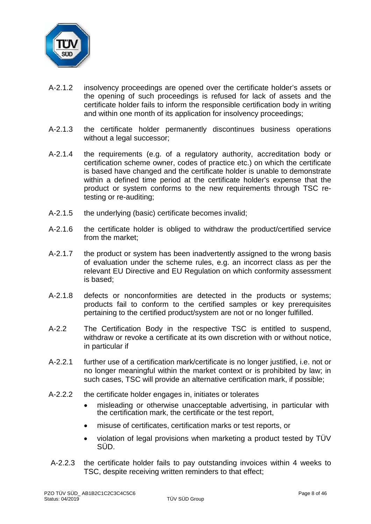

- A-2.1.2 insolvency proceedings are opened over the certificate holder's assets or the opening of such proceedings is refused for lack of assets and the certificate holder fails to inform the responsible certification body in writing and within one month of its application for insolvency proceedings;
- A-2.1.3 the certificate holder permanently discontinues business operations without a legal successor;
- A-2.1.4 the requirements (e.g. of a regulatory authority, accreditation body or certification scheme owner, codes of practice etc.) on which the certificate is based have changed and the certificate holder is unable to demonstrate within a defined time period at the certificate holder's expense that the product or system conforms to the new requirements through TSC retesting or re-auditing;
- A-2.1.5 the underlying (basic) certificate becomes invalid;
- A-2.1.6 the certificate holder is obliged to withdraw the product/certified service from the market;
- A-2.1.7 the product or system has been inadvertently assigned to the wrong basis of evaluation under the scheme rules, e.g. an incorrect class as per the relevant EU Directive and EU Regulation on which conformity assessment is based;
- A-2.1.8 defects or nonconformities are detected in the products or systems; products fail to conform to the certified samples or key prerequisites pertaining to the certified product/system are not or no longer fulfilled.
- A-2.2 The Certification Body in the respective TSC is entitled to suspend, withdraw or revoke a certificate at its own discretion with or without notice, in particular if
- A-2.2.1 further use of a certification mark/certificate is no longer justified, i.e. not or no longer meaningful within the market context or is prohibited by law; in such cases, TSC will provide an alternative certification mark, if possible;
- A-2.2.2 the certificate holder engages in, initiates or tolerates
	- misleading or otherwise unacceptable advertising, in particular with the certification mark, the certificate or the test report,
	- misuse of certificates, certification marks or test reports, or
	- violation of legal provisions when marketing a product tested by TÜV SÜD.
- A-2.2.3 the certificate holder fails to pay outstanding invoices within 4 weeks to TSC, despite receiving written reminders to that effect;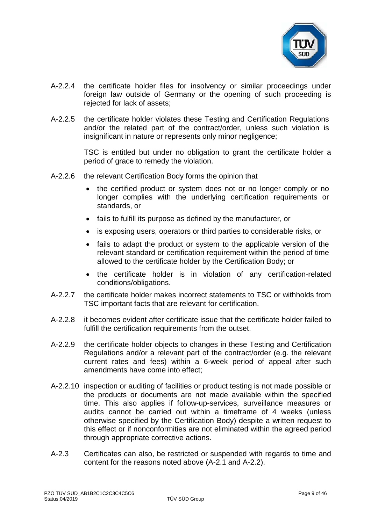

- A-2.2.4 the certificate holder files for insolvency or similar proceedings under foreign law outside of Germany or the opening of such proceeding is rejected for lack of assets:
- A-2.2.5 the certificate holder violates these Testing and Certification Regulations and/or the related part of the contract/order, unless such violation is insignificant in nature or represents only minor negligence;

TSC is entitled but under no obligation to grant the certificate holder a period of grace to remedy the violation.

- A-2.2.6 the relevant Certification Body forms the opinion that
	- the certified product or system does not or no longer comply or no longer complies with the underlying certification requirements or standards, or
	- fails to fulfill its purpose as defined by the manufacturer, or
	- is exposing users, operators or third parties to considerable risks, or
	- fails to adapt the product or system to the applicable version of the relevant standard or certification requirement within the period of time allowed to the certificate holder by the Certification Body; or
	- the certificate holder is in violation of any certification-related conditions/obligations.
- A-2.2.7 the certificate holder makes incorrect statements to TSC or withholds from TSC important facts that are relevant for certification.
- A-2.2.8 it becomes evident after certificate issue that the certificate holder failed to fulfill the certification requirements from the outset.
- A-2.2.9 the certificate holder objects to changes in these Testing and Certification Regulations and/or a relevant part of the contract/order (e.g. the relevant current rates and fees) within a 6-week period of appeal after such amendments have come into effect;
- A-2.2.10 inspection or auditing of facilities or product testing is not made possible or the products or documents are not made available within the specified time. This also applies if follow-up-services, surveillance measures or audits cannot be carried out within a timeframe of 4 weeks (unless otherwise specified by the Certification Body) despite a written request to this effect or if nonconformities are not eliminated within the agreed period through appropriate corrective actions.
- A-2.3 Certificates can also, be restricted or suspended with regards to time and content for the reasons noted above (A-2.1 and A-2.2).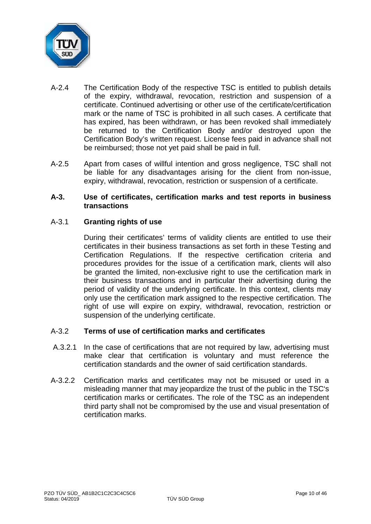

- A-2.4 The Certification Body of the respective TSC is entitled to publish details of the expiry, withdrawal, revocation, restriction and suspension of a certificate. Continued advertising or other use of the certificate/certification mark or the name of TSC is prohibited in all such cases. A certificate that has expired, has been withdrawn, or has been revoked shall immediately be returned to the Certification Body and/or destroyed upon the Certification Body's written request. License fees paid in advance shall not be reimbursed; those not yet paid shall be paid in full.
- A-2.5 Apart from cases of willful intention and gross negligence, TSC shall not be liable for any disadvantages arising for the client from non-issue, expiry, withdrawal, revocation, restriction or suspension of a certificate.

#### **A-3. Use of certificates, certification marks and test reports in business transactions**

## A-3.1 **Granting rights of use**

During their certificates' terms of validity clients are entitled to use their certificates in their business transactions as set forth in these Testing and Certification Regulations. If the respective certification criteria and procedures provides for the issue of a certification mark, clients will also be granted the limited, non-exclusive right to use the certification mark in their business transactions and in particular their advertising during the period of validity of the underlying certificate. In this context, clients may only use the certification mark assigned to the respective certification. The right of use will expire on expiry, withdrawal, revocation, restriction or suspension of the underlying certificate.

## A-3.2 **Terms of use of certification marks and certificates**

- A.3.2.1 In the case of certifications that are not required by law, advertising must make clear that certification is voluntary and must reference the certification standards and the owner of said certification standards.
- A-3.2.2 Certification marks and certificates may not be misused or used in a misleading manner that may jeopardize the trust of the public in the TSC's certification marks or certificates. The role of the TSC as an independent third party shall not be compromised by the use and visual presentation of certification marks.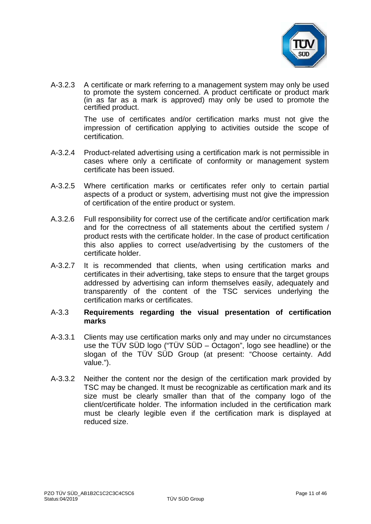

A-3.2.3 A certificate or mark referring to a management system may only be used to promote the system concerned. A product certificate or product mark  $(in$  as far as a mark is approved) may only be used to promote the certified product.

> The use of certificates and/or certification marks must not give the impression of certification applying to activities outside the scope of certification.

- A-3.2.4 Product-related advertising using a certification mark is not permissible in cases where only a certificate of conformity or management system certificate has been issued.
- A-3.2.5 Where certification marks or certificates refer only to certain partial aspects of a product or system, advertising must not give the impression of certification of the entire product or system.
- A.3.2.6 Full responsibility for correct use of the certificate and/or certification mark and for the correctness of all statements about the certified system / product rests with the certificate holder. In the case of product certification this also applies to correct use/advertising by the customers of the certificate holder.
- A-3.2.7 It is recommended that clients, when using certification marks and certificates in their advertising, take steps to ensure that the target groups addressed by advertising can inform themselves easily, adequately and transparently of the content of the TSC services underlying the certification marks or certificates.

#### A-3.3 **Requirements regarding the visual presentation of certification marks**

- A-3.3.1 Clients may use certification marks only and may under no circumstances use the TÜV SÜD logo ("TÜV SÜD – Octagon", logo see headline) or the slogan of the TÜV SÜD Group (at present: "Choose certainty. Add value.").
- A-3.3.2 Neither the content nor the design of the certification mark provided by TSC may be changed. It must be recognizable as certification mark and its size must be clearly smaller than that of the company logo of the client/certificate holder. The information included in the certification mark must be clearly legible even if the certification mark is displayed at reduced size.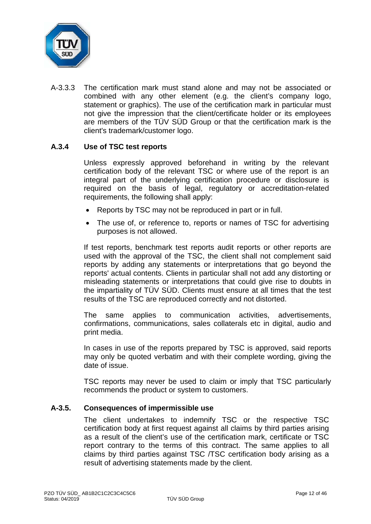

A-3.3.3 The certification mark must stand alone and may not be associated or combined with any other element (e.g. the client's company logo, statement or graphics). The use of the certification mark in particular must not give the impression that the client/certificate holder or its employees are members of the TÜV SÜD Group or that the certification mark is the client's trademark/customer logo.

## **A.3.4 Use of TSC test reports**

Unless expressly approved beforehand in writing by the relevant certification body of the relevant TSC or where use of the report is an integral part of the underlying certification procedure or disclosure is required on the basis of legal, regulatory or accreditation-related requirements, the following shall apply:

- Reports by TSC may not be reproduced in part or in full.
- The use of, or reference to, reports or names of TSC for advertising purposes is not allowed.

If test reports, benchmark test reports audit reports or other reports are used with the approval of the TSC, the client shall not complement said reports by adding any statements or interpretations that go beyond the reports' actual contents. Clients in particular shall not add any distorting or misleading statements or interpretations that could give rise to doubts in the impartiality of TÜV SÜD. Clients must ensure at all times that the test results of the TSC are reproduced correctly and not distorted.

The same applies to communication activities, advertisements, confirmations, communications, sales collaterals etc in digital, audio and print media.

In cases in use of the reports prepared by TSC is approved, said reports may only be quoted verbatim and with their complete wording, giving the date of issue.

TSC reports may never be used to claim or imply that TSC particularly recommends the product or system to customers.

## **A-3.5. Consequences of impermissible use**

The client undertakes to indemnify TSC or the respective TSC certification body at first request against all claims by third parties arising as a result of the client's use of the certification mark, certificate or TSC report contrary to the terms of this contract. The same applies to all claims by third parties against TSC /TSC certification body arising as a result of advertising statements made by the client.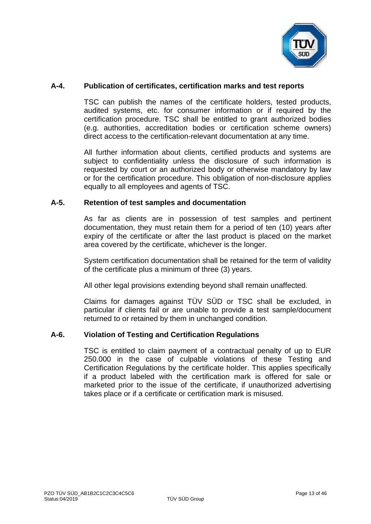

## **A-4. Publication of certificates, certification marks and test reports**

TSC can publish the names of the certificate holders, tested products, audited systems, etc. for consumer information or if required by the certification procedure. TSC shall be entitled to grant authorized bodies (e.g. authorities, accreditation bodies or certification scheme owners) direct access to the certification-relevant documentation at any time.

All further information about clients, certified products and systems are subject to confidentiality unless the disclosure of such information is requested by court or an authorized body or otherwise mandatory by law or for the certification procedure. This obligation of non-disclosure applies equally to all employees and agents of TSC.

#### **A-5. Retention of test samples and documentation**

As far as clients are in possession of test samples and pertinent documentation, they must retain them for a period of ten (10) years after expiry of the certificate or after the last product is placed on the market area covered by the certificate, whichever is the longer.

System certification documentation shall be retained for the term of validity of the certificate plus a minimum of three (3) years.

All other legal provisions extending beyond shall remain unaffected.

Claims for damages against TÜV SÜD or TSC shall be excluded, in particular if clients fail or are unable to provide a test sample/document returned to or retained by them in unchanged condition.

#### **A-6. Violation of Testing and Certification Regulations**

TSC is entitled to claim payment of a contractual penalty of up to EUR 250.000 in the case of culpable violations of these Testing and Certification Regulations by the certificate holder. This applies specifically if a product labeled with the certification mark is offered for sale or marketed prior to the issue of the certificate, if unauthorized advertising takes place or if a certificate or certification mark is misused.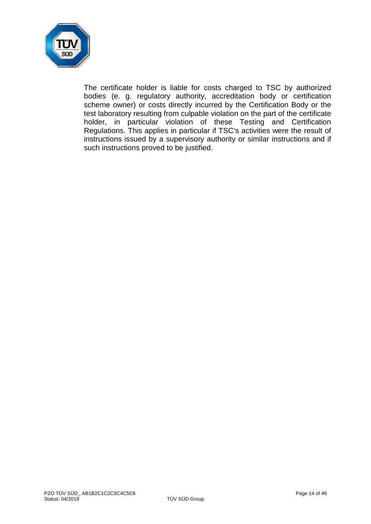

The certificate holder is liable for costs charged to TSC by authorized bodies (e. g. regulatory authority, accreditation body or certification scheme owner) or costs directly incurred by the Certification Body or the test laboratory resulting from culpable violation on the part of the certificate holder, in particular violation of these Testing and Certification Regulations. This applies in particular if TSC's activities were the result of instructions issued by a supervisory authority or similar instructions and if such instructions proved to be justified.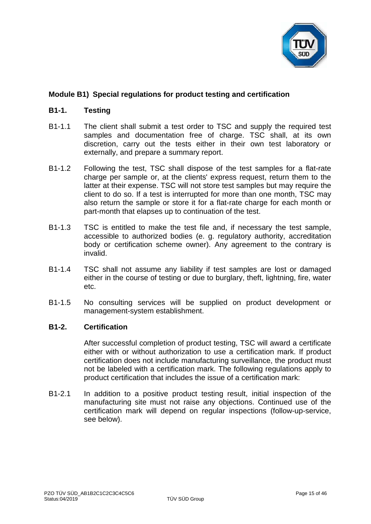

# **Module B1) Special regulations for product testing and certification**

## **B1-1. Testing**

- B1-1.1 The client shall submit a test order to TSC and supply the required test samples and documentation free of charge. TSC shall, at its own discretion, carry out the tests either in their own test laboratory or externally, and prepare a summary report.
- B1-1.2 Following the test, TSC shall dispose of the test samples for a flat-rate charge per sample or, at the clients' express request, return them to the latter at their expense. TSC will not store test samples but may require the client to do so. If a test is interrupted for more than one month, TSC may also return the sample or store it for a flat-rate charge for each month or part-month that elapses up to continuation of the test.
- B1-1.3 TSC is entitled to make the test file and, if necessary the test sample, accessible to authorized bodies (e. g. regulatory authority, accreditation body or certification scheme owner). Any agreement to the contrary is invalid.
- B1-1.4 TSC shall not assume any liability if test samples are lost or damaged either in the course of testing or due to burglary, theft, lightning, fire, water etc.
- B1-1.5 No consulting services will be supplied on product development or management-system establishment.

#### **B1-2. Certification**

After successful completion of product testing, TSC will award a certificate either with or without authorization to use a certification mark. If product certification does not include manufacturing surveillance, the product must not be labeled with a certification mark. The following regulations apply to product certification that includes the issue of a certification mark:

B1-2.1 In addition to a positive product testing result, initial inspection of the manufacturing site must not raise any objections. Continued use of the certification mark will depend on regular inspections (follow-up-service, see below).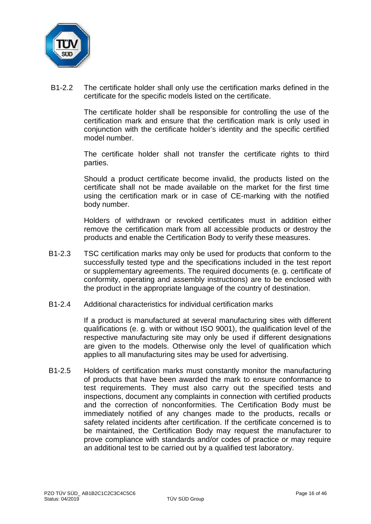

B1-2.2 The certificate holder shall only use the certification marks defined in the certificate for the specific models listed on the certificate.

> The certificate holder shall be responsible for controlling the use of the certification mark and ensure that the certification mark is only used in conjunction with the certificate holder's identity and the specific certified model number.

> The certificate holder shall not transfer the certificate rights to third parties.

> Should a product certificate become invalid, the products listed on the certificate shall not be made available on the market for the first time using the certification mark or in case of CE-marking with the notified body number.

> Holders of withdrawn or revoked certificates must in addition either remove the certification mark from all accessible products or destroy the products and enable the Certification Body to verify these measures.

- B1-2.3 TSC certification marks may only be used for products that conform to the successfully tested type and the specifications included in the test report or supplementary agreements. The required documents (e. g. certificate of conformity, operating and assembly instructions) are to be enclosed with the product in the appropriate language of the country of destination.
- B1-2.4 Additional characteristics for individual certification marks

If a product is manufactured at several manufacturing sites with different qualifications (e. g. with or without ISO 9001), the qualification level of the respective manufacturing site may only be used if different designations are given to the models. Otherwise only the level of qualification which applies to all manufacturing sites may be used for advertising.

B1-2.5 Holders of certification marks must constantly monitor the manufacturing of products that have been awarded the mark to ensure conformance to test requirements. They must also carry out the specified tests and inspections, document any complaints in connection with certified products and the correction of nonconformities. The Certification Body must be immediately notified of any changes made to the products, recalls or safety related incidents after certification. If the certificate concerned is to be maintained, the Certification Body may request the manufacturer to prove compliance with standards and/or codes of practice or may require an additional test to be carried out by a qualified test laboratory.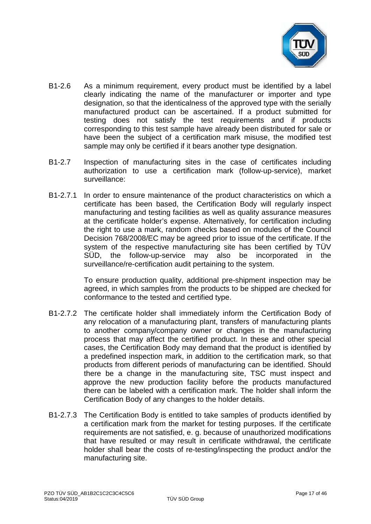

- B1-2.6 As a minimum requirement, every product must be identified by a label clearly indicating the name of the manufacturer or importer and type designation, so that the identicalness of the approved type with the serially manufactured product can be ascertained. If a product submitted for testing does not satisfy the test requirements and if products corresponding to this test sample have already been distributed for sale or have been the subject of a certification mark misuse, the modified test sample may only be certified if it bears another type designation.
- B1-2.7 Inspection of manufacturing sites in the case of certificates including authorization to use a certification mark (follow-up-service), market surveillance:
- B1-2.7.1 In order to ensure maintenance of the product characteristics on which a certificate has been based, the Certification Body will regularly inspect manufacturing and testing facilities as well as quality assurance measures at the certificate holder's expense. Alternatively, for certification including the right to use a mark, random checks based on modules of the Council Decision 768/2008/EC may be agreed prior to issue of the certificate. If the system of the respective manufacturing site has been certified by TÜV SÜD, the follow-up-service may also be incorporated in the surveillance/re-certification audit pertaining to the system.

To ensure production quality, additional pre-shipment inspection may be agreed, in which samples from the products to be shipped are checked for conformance to the tested and certified type.

- B1-2.7.2 The certificate holder shall immediately inform the Certification Body of any relocation of a manufacturing plant, transfers of manufacturing plants to another company/company owner or changes in the manufacturing process that may affect the certified product. In these and other special cases, the Certification Body may demand that the product is identified by a predefined inspection mark, in addition to the certification mark, so that products from different periods of manufacturing can be identified. Should there be a change in the manufacturing site, TSC must inspect and approve the new production facility before the products manufactured there can be labeled with a certification mark. The holder shall inform the Certification Body of any changes to the holder details.
- B1-2.7.3 The Certification Body is entitled to take samples of products identified by a certification mark from the market for testing purposes. If the certificate requirements are not satisfied, e. g. because of unauthorized modifications that have resulted or may result in certificate withdrawal, the certificate holder shall bear the costs of re-testing/inspecting the product and/or the manufacturing site.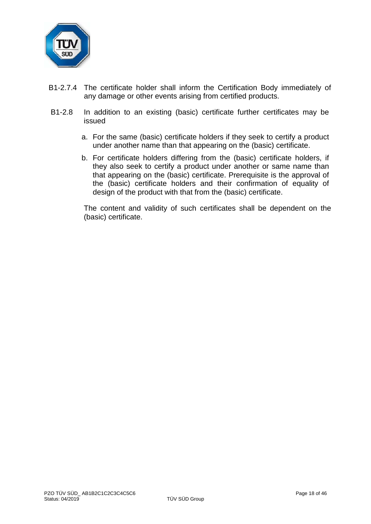

- B1-2.7.4 The certificate holder shall inform the Certification Body immediately of any damage or other events arising from certified products.
- B1-2.8 In addition to an existing (basic) certificate further certificates may be issued
	- a. For the same (basic) certificate holders if they seek to certify a product under another name than that appearing on the (basic) certificate.
	- b. For certificate holders differing from the (basic) certificate holders, if they also seek to certify a product under another or same name than that appearing on the (basic) certificate. Prerequisite is the approval of the (basic) certificate holders and their confirmation of equality of design of the product with that from the (basic) certificate.

The content and validity of such certificates shall be dependent on the (basic) certificate.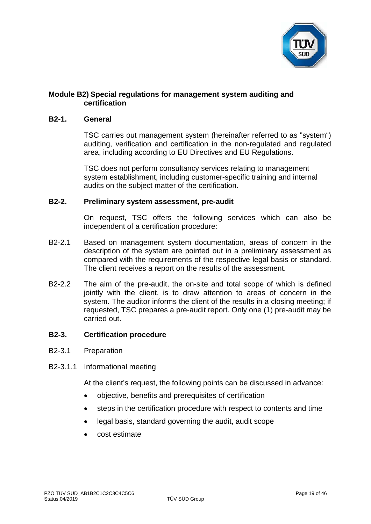

# **Module B2) Special regulations for management system auditing and certification**

#### **B2-1. General**

TSC carries out management system (hereinafter referred to as "system") auditing, verification and certification in the non-regulated and regulated area, including according to EU Directives and EU Regulations.

TSC does not perform consultancy services relating to management system establishment, including customer-specific training and internal audits on the subject matter of the certification.

## **B2-2. Preliminary system assessment, pre-audit**

On request, TSC offers the following services which can also be independent of a certification procedure:

- B2-2.1 Based on management system documentation, areas of concern in the description of the system are pointed out in a preliminary assessment as compared with the requirements of the respective legal basis or standard. The client receives a report on the results of the assessment.
- B2-2.2 The aim of the pre-audit, the on-site and total scope of which is defined jointly with the client, is to draw attention to areas of concern in the system. The auditor informs the client of the results in a closing meeting; if requested, TSC prepares a pre-audit report. Only one (1) pre-audit may be carried out.

## **B2-3. Certification procedure**

- B2-3.1 Preparation
- B2-3.1.1 Informational meeting

At the client's request, the following points can be discussed in advance:

- objective, benefits and prerequisites of certification
- steps in the certification procedure with respect to contents and time
- legal basis, standard governing the audit, audit scope
- cost estimate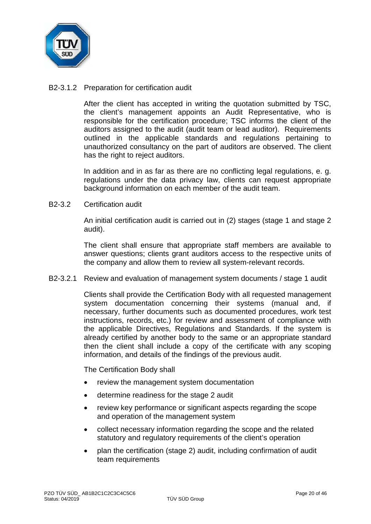

# B2-3.1.2 Preparation for certification audit

After the client has accepted in writing the quotation submitted by TSC, the client's management appoints an Audit Representative, who is responsible for the certification procedure; TSC informs the client of the auditors assigned to the audit (audit team or lead auditor). Requirements outlined in the applicable standards and regulations pertaining to unauthorized consultancy on the part of auditors are observed. The client has the right to reject auditors.

In addition and in as far as there are no conflicting legal regulations, e. g. regulations under the data privacy law, clients can request appropriate background information on each member of the audit team.

## B2-3.2 Certification audit

An initial certification audit is carried out in (2) stages (stage 1 and stage 2 audit).

The client shall ensure that appropriate staff members are available to answer questions; clients grant auditors access to the respective units of the company and allow them to review all system-relevant records.

B2-3.2.1 Review and evaluation of management system documents / stage 1 audit

Clients shall provide the Certification Body with all requested management system documentation concerning their systems (manual and, if necessary, further documents such as documented procedures, work test instructions, records, etc.) for review and assessment of compliance with the applicable Directives, Regulations and Standards. If the system is already certified by another body to the same or an appropriate standard then the client shall include a copy of the certificate with any scoping information, and details of the findings of the previous audit.

The Certification Body shall

- review the management system documentation
- determine readiness for the stage 2 audit
- review key performance or significant aspects regarding the scope and operation of the management system
- collect necessary information regarding the scope and the related statutory and regulatory requirements of the client's operation
- plan the certification (stage 2) audit, including confirmation of audit team requirements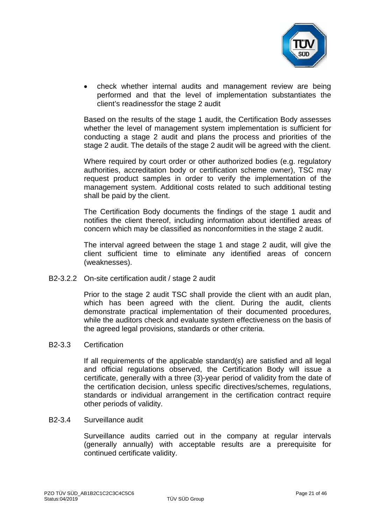

• check whether internal audits and management review are being performed and that the level of implementation substantiates the client's readinessfor the stage 2 audit

Based on the results of the stage 1 audit, the Certification Body assesses whether the level of management system implementation is sufficient for conducting a stage 2 audit and plans the process and priorities of the stage 2 audit. The details of the stage 2 audit will be agreed with the client.

Where required by court order or other authorized bodies (e.g. regulatory authorities, accreditation body or certification scheme owner), TSC may request product samples in order to verify the implementation of the management system. Additional costs related to such additional testing shall be paid by the client.

The Certification Body documents the findings of the stage 1 audit and notifies the client thereof, including information about identified areas of concern which may be classified as nonconformities in the stage 2 audit.

The interval agreed between the stage 1 and stage 2 audit, will give the client sufficient time to eliminate any identified areas of concern (weaknesses).

B2-3.2.2 On-site certification audit / stage 2 audit

Prior to the stage 2 audit TSC shall provide the client with an audit plan, which has been agreed with the client. During the audit, clients demonstrate practical implementation of their documented procedures, while the auditors check and evaluate system effectiveness on the basis of the agreed legal provisions, standards or other criteria.

#### B2-3.3 Certification

If all requirements of the applicable standard(s) are satisfied and all legal and official regulations observed, the Certification Body will issue a certificate, generally with a three (3)-year period of validity from the date of the certification decision, unless specific directives/schemes, regulations, standards or individual arrangement in the certification contract require other periods of validity.

#### B2-3.4 Surveillance audit

Surveillance audits carried out in the company at regular intervals (generally annually) with acceptable results are a prerequisite for continued certificate validity.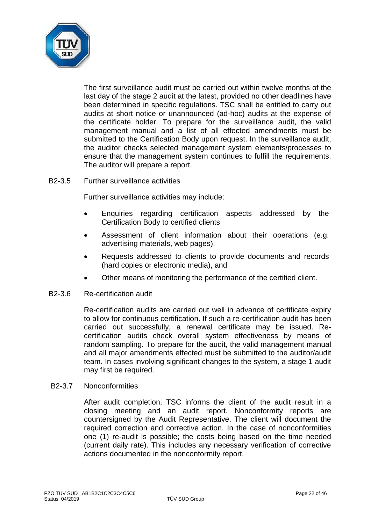

The first surveillance audit must be carried out within twelve months of the last day of the stage 2 audit at the latest, provided no other deadlines have been determined in specific regulations. TSC shall be entitled to carry out audits at short notice or unannounced (ad-hoc) audits at the expense of the certificate holder. To prepare for the surveillance audit, the valid management manual and a list of all effected amendments must be submitted to the Certification Body upon request. In the surveillance audit, the auditor checks selected management system elements/processes to ensure that the management system continues to fulfill the requirements. The auditor will prepare a report.

## B2-3.5 Further surveillance activities

Further surveillance activities may include:

- Enquiries regarding certification aspects addressed by the Certification Body to certified clients
- Assessment of client information about their operations (e.g. advertising materials, web pages),
- Requests addressed to clients to provide documents and records (hard copies or electronic media), and
- Other means of monitoring the performance of the certified client.

#### B2-3.6 Re-certification audit

Re-certification audits are carried out well in advance of certificate expiry to allow for continuous certification. If such a re-certification audit has been carried out successfully, a renewal certificate may be issued. Recertification audits check overall system effectiveness by means of random sampling. To prepare for the audit, the valid management manual and all major amendments effected must be submitted to the auditor/audit team. In cases involving significant changes to the system, a stage 1 audit may first be required.

#### B2-3.7 Nonconformities

After audit completion, TSC informs the client of the audit result in a closing meeting and an audit report. Nonconformity reports are countersigned by the Audit Representative. The client will document the required correction and corrective action. In the case of nonconformities one (1) re-audit is possible; the costs being based on the time needed (current daily rate). This includes any necessary verification of corrective actions documented in the nonconformity report.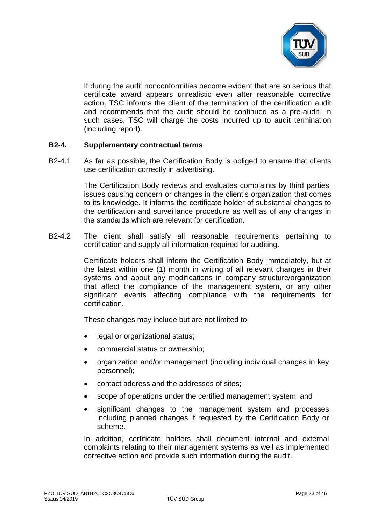

If during the audit nonconformities become evident that are so serious that certificate award appears unrealistic even after reasonable corrective action, TSC informs the client of the termination of the certification audit and recommends that the audit should be continued as a pre-audit. In such cases, TSC will charge the costs incurred up to audit termination (including report).

## **B2-4. Supplementary contractual terms**

B2-4.1 As far as possible, the Certification Body is obliged to ensure that clients use certification correctly in advertising.

> The Certification Body reviews and evaluates complaints by third parties, issues causing concern or changes in the client's organization that comes to its knowledge. It informs the certificate holder of substantial changes to the certification and surveillance procedure as well as of any changes in the standards which are relevant for certification.

B2-4.2 The client shall satisfy all reasonable requirements pertaining to certification and supply all information required for auditing.

> Certificate holders shall inform the Certification Body immediately, but at the latest within one (1) month in writing of all relevant changes in their systems and about any modifications in company structure/organization that affect the compliance of the management system, or any other significant events affecting compliance with the requirements for certification.

These changes may include but are not limited to:

- legal or organizational status;
- commercial status or ownership;
- organization and/or management (including individual changes in key personnel);
- contact address and the addresses of sites;
- scope of operations under the certified management system, and
- significant changes to the management system and processes including planned changes if requested by the Certification Body or scheme.

In addition, certificate holders shall document internal and external complaints relating to their management systems as well as implemented corrective action and provide such information during the audit.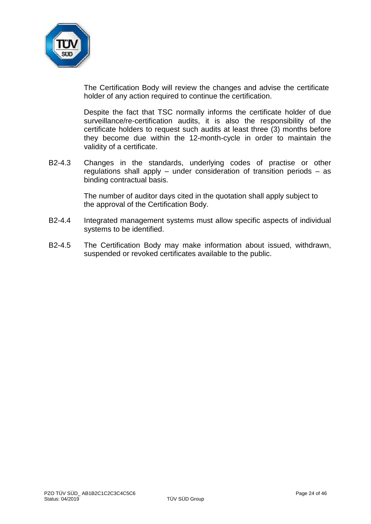

The Certification Body will review the changes and advise the certificate holder of any action required to continue the certification.

Despite the fact that TSC normally informs the certificate holder of due surveillance/re-certification audits, it is also the responsibility of the certificate holders to request such audits at least three (3) months before they become due within the 12-month-cycle in order to maintain the validity of a certificate.

B2-4.3 Changes in the standards, underlying codes of practise or other regulations shall apply – under consideration of transition periods – as binding contractual basis.

> The number of auditor days cited in the quotation shall apply subject to the approval of the Certification Body.

- B2-4.4 Integrated management systems must allow specific aspects of individual systems to be identified.
- B2-4.5 The Certification Body may make information about issued, withdrawn, suspended or revoked certificates available to the public.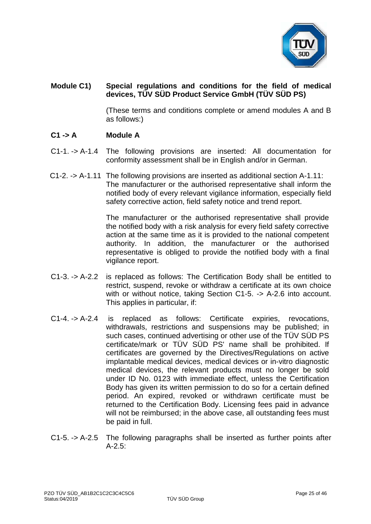

# **Module C1) Special regulations and conditions for the field of medical devices, TÜV SÜD Product Service GmbH (TÜV SÜD PS)**

(These terms and conditions complete or amend modules A and B as follows:)

## **C1 -> A Module A**

- C1-1. -> A-1.4 The following provisions are inserted: All documentation for conformity assessment shall be in English and/or in German.
- C1-2. -> A-1.11 The following provisions are inserted as additional section A-1.11: The manufacturer or the authorised representative shall inform the notified body of every relevant vigilance information, especially field safety corrective action, field safety notice and trend report.

The manufacturer or the authorised representative shall provide the notified body with a risk analysis for every field safety corrective action at the same time as it is provided to the national competent authority. In addition, the manufacturer or the authorised representative is obliged to provide the notified body with a final vigilance report.

- C1-3. -> A-2.2 is replaced as follows: The Certification Body shall be entitled to restrict, suspend, revoke or withdraw a certificate at its own choice with or without notice, taking Section C1-5. -> A-2.6 into account. This applies in particular, if:
- C1-4. -> A-2.4 is replaced as follows: Certificate expiries, revocations, withdrawals, restrictions and suspensions may be published; in such cases, continued advertising or other use of the TÜV SÜD PS certificate/mark or TÜV SÜD PS' name shall be prohibited. If certificates are governed by the Directives/Regulations on active implantable medical devices, medical devices or in-vitro diagnostic medical devices, the relevant products must no longer be sold under ID No. 0123 with immediate effect, unless the Certification Body has given its written permission to do so for a certain defined period. An expired, revoked or withdrawn certificate must be returned to the Certification Body. Licensing fees paid in advance will not be reimbursed; in the above case, all outstanding fees must be paid in full.
- C1-5. -> A-2.5 The following paragraphs shall be inserted as further points after A-2.5: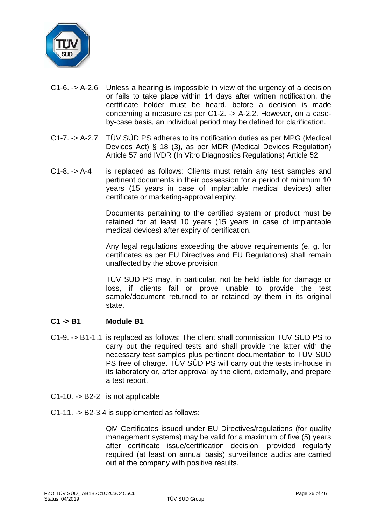

- C1-6. -> A-2.6 Unless a hearing is impossible in view of the urgency of a decision or fails to take place within 14 days after written notification, the certificate holder must be heard, before a decision is made concerning a measure as per C1-2. -> A-2.2. However, on a caseby-case basis, an individual period may be defined for clarification.
- C1-7. -> A-2.7 TÜV SÜD PS adheres to its notification duties as per MPG (Medical Devices Act) § 18 (3), as per MDR (Medical Devices Regulation) Article 57 and IVDR (In Vitro Diagnostics Regulations) Article 52.
- C1-8. -> A-4 is replaced as follows: Clients must retain any test samples and pertinent documents in their possession for a period of minimum 10 years (15 years in case of implantable medical devices) after certificate or marketing-approval expiry.

Documents pertaining to the certified system or product must be retained for at least 10 years (15 years in case of implantable medical devices) after expiry of certification.

Any legal regulations exceeding the above requirements (e. g. for certificates as per EU Directives and EU Regulations) shall remain unaffected by the above provision.

TÜV SÜD PS may, in particular, not be held liable for damage or loss, if clients fail or prove unable to provide the test sample/document returned to or retained by them in its original state.

# **C1 -> B1 Module B1**

- C1-9. -> B1-1.1 is replaced as follows: The client shall commission TÜV SÜD PS to carry out the required tests and shall provide the latter with the necessary test samples plus pertinent documentation to TÜV SÜD PS free of charge. TÜV SÜD PS will carry out the tests in-house in its laboratory or, after approval by the client, externally, and prepare a test report.
- C1-10. -> B2-2 is not applicable
- C1-11. -> B2-3.4 is supplemented as follows:

QM Certificates issued under EU Directives/regulations (for quality management systems) may be valid for a maximum of five (5) years after certificate issue/certification decision, provided regularly required (at least on annual basis) surveillance audits are carried out at the company with positive results.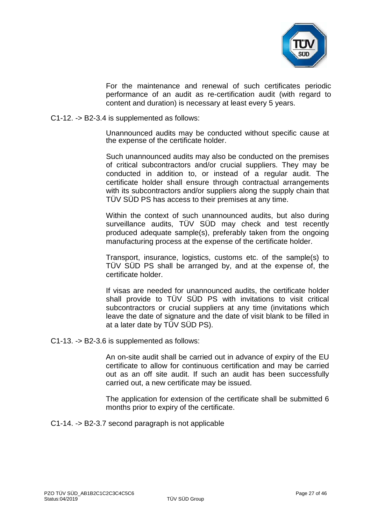

For the maintenance and renewal of such certificates periodic performance of an audit as re-certification audit (with regard to content and duration) is necessary at least every 5 years.

#### C1-12. -> B2-3.4 is supplemented as follows:

Unannounced audits may be conducted without specific cause at the expense of the certificate holder.

Such unannounced audits may also be conducted on the premises of critical subcontractors and/or crucial suppliers. They may be conducted in addition to, or instead of a regular audit. The certificate holder shall ensure through contractual arrangements with its subcontractors and/or suppliers along the supply chain that TÜV SÜD PS has access to their premises at any time.

Within the context of such unannounced audits, but also during surveillance audits, TÜV SÜD may check and test recently produced adequate sample(s), preferably taken from the ongoing manufacturing process at the expense of the certificate holder.

Transport, insurance, logistics, customs etc. of the sample(s) to TÜV SÜD PS shall be arranged by, and at the expense of, the certificate holder.

If visas are needed for unannounced audits, the certificate holder shall provide to TÜV SÜD PS with invitations to visit critical subcontractors or crucial suppliers at any time (invitations which leave the date of signature and the date of visit blank to be filled in at a later date by TÜV SÜD PS).

C1-13. -> B2-3.6 is supplemented as follows:

An on-site audit shall be carried out in advance of expiry of the EU certificate to allow for continuous certification and may be carried out as an off site audit. If such an audit has been successfully carried out, a new certificate may be issued.

The application for extension of the certificate shall be submitted 6 months prior to expiry of the certificate.

C1-14. -> B2-3.7 second paragraph is not applicable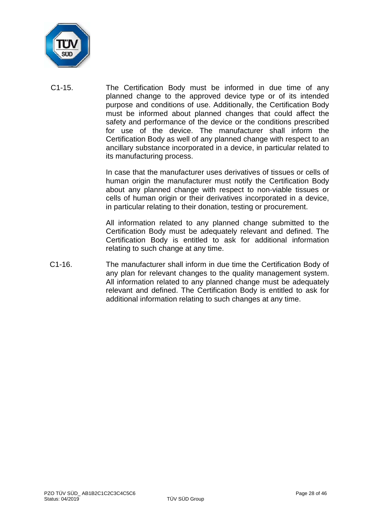

C1-15. The Certification Body must be informed in due time of any planned change to the approved device type or of its intended purpose and conditions of use. Additionally, the Certification Body must be informed about planned changes that could affect the safety and performance of the device or the conditions prescribed for use of the device. The manufacturer shall inform the Certification Body as well of any planned change with respect to an ancillary substance incorporated in a device, in particular related to its manufacturing process.

> In case that the manufacturer uses derivatives of tissues or cells of human origin the manufacturer must notify the Certification Body about any planned change with respect to non-viable tissues or cells of human origin or their derivatives incorporated in a device, in particular relating to their donation, testing or procurement.

> All information related to any planned change submitted to the Certification Body must be adequately relevant and defined. The Certification Body is entitled to ask for additional information relating to such change at any time.

C1-16. The manufacturer shall inform in due time the Certification Body of any plan for relevant changes to the quality management system. All information related to any planned change must be adequately relevant and defined. The Certification Body is entitled to ask for additional information relating to such changes at any time.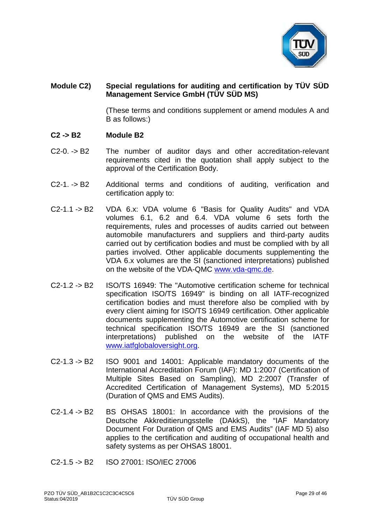

# **Module C2) Special regulations for auditing and certification by TÜV SÜD Management Service GmbH (TÜV SÜD MS)**

(These terms and conditions supplement or amend modules A and B as follows:)

- **C2 -> B2 Module B2**
- C2-0. -> B2 The number of auditor days and other accreditation-relevant requirements cited in the quotation shall apply subject to the approval of the Certification Body.
- C2-1. -> B2 Additional terms and conditions of auditing, verification and certification apply to:
- C2-1.1 -> B2 VDA 6.x: VDA volume 6 "Basis for Quality Audits" and VDA volumes 6.1, 6.2 and 6.4. VDA volume 6 sets forth the requirements, rules and processes of audits carried out between automobile manufacturers and suppliers and third-party audits carried out by certification bodies and must be complied with by all parties involved. Other applicable documents supplementing the VDA 6.x volumes are the SI (sanctioned interpretations) published on the website of the VDA-QMC [www.vda-qmc.de.](http://www.vda-qmc.de/)
- C2-1.2 -> B2 ISO/TS 16949: The "Automotive certification scheme for technical specification ISO/TS 16949" is binding on all IATF-recognized certification bodies and must therefore also be complied with by every client aiming for ISO/TS 16949 certification. Other applicable documents supplementing the Automotive certification scheme for technical specification ISO/TS 16949 are the SI (sanctioned interpretations) published on the website of the IATF [www.iatfglobaloversight.org.](http://www.iatfglobaloversight.org/)
- C2-1.3 -> B2 ISO 9001 and 14001: Applicable mandatory documents of the International Accreditation Forum (IAF): MD 1:2007 (Certification of Multiple Sites Based on Sampling), MD 2:2007 (Transfer of Accredited Certification of Management Systems), MD 5:2015 (Duration of QMS and EMS Audits).
- C2-1.4 -> B2 BS OHSAS 18001: In accordance with the provisions of the Deutsche Akkreditierungsstelle (DAkkS), the "IAF Mandatory Document For Duration of QMS and EMS Audits" (IAF MD 5) also applies to the certification and auditing of occupational health and safety systems as per OHSAS 18001.
- C2-1.5 -> B2 ISO 27001: ISO/IEC 27006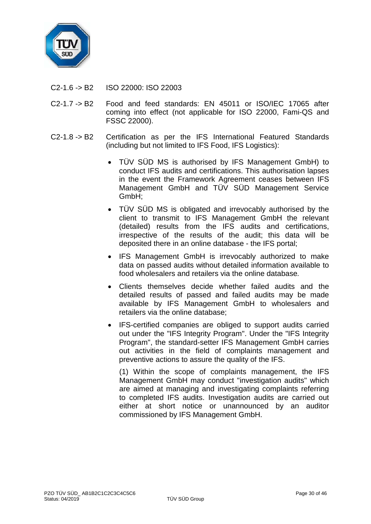

- C2-1.6 -> B2 ISO 22000: ISO 22003
- C2-1.7 -> B2 Food and feed standards: EN 45011 or ISO/IEC 17065 after coming into effect (not applicable for ISO 22000, Fami-QS and FSSC 22000).
- C2-1.8 -> B2 Certification as per the IFS International Featured Standards (including but not limited to IFS Food, IFS Logistics):
	- TÜV SÜD MS is authorised by IFS Management GmbH) to conduct IFS audits and certifications. This authorisation lapses in the event the Framework Agreement ceases between IFS Management GmbH and TÜV SÜD Management Service GmbH;
	- TÜV SÜD MS is obligated and irrevocably authorised by the client to transmit to IFS Management GmbH the relevant (detailed) results from the IFS audits and certifications, irrespective of the results of the audit; this data will be deposited there in an online database - the IFS portal;
	- IFS Management GmbH is irrevocably authorized to make data on passed audits without detailed information available to food wholesalers and retailers via the online database*.*
	- Clients themselves decide whether failed audits and the detailed results of passed and failed audits may be made available by IFS Management GmbH to wholesalers and retailers via the online database;
	- IFS-certified companies are obliged to support audits carried out under the "IFS Integrity Program". Under the "IFS Integrity Program", the standard-setter IFS Management GmbH carries out activities in the field of complaints management and preventive actions to assure the quality of the IFS.

(1) Within the scope of complaints management, the IFS Management GmbH may conduct "investigation audits" which are aimed at managing and investigating complaints referring to completed IFS audits. Investigation audits are carried out either at short notice or unannounced by an auditor commissioned by IFS Management GmbH.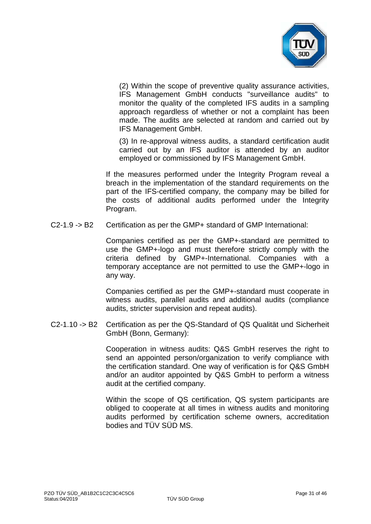

(2) Within the scope of preventive quality assurance activities, IFS Management GmbH conducts "surveillance audits" to monitor the quality of the completed IFS audits in a sampling approach regardless of whether or not a complaint has been made. The audits are selected at random and carried out by IFS Management GmbH.

(3) In re-approval witness audits, a standard certification audit carried out by an IFS auditor is attended by an auditor employed or commissioned by IFS Management GmbH.

If the measures performed under the Integrity Program reveal a breach in the implementation of the standard requirements on the part of the IFS-certified company, the company may be billed for the costs of additional audits performed under the Integrity Program.

C2-1.9 -> B2 Certification as per the GMP+ standard of GMP International:

Companies certified as per the GMP+-standard are permitted to use the GMP+-logo and must therefore strictly comply with the criteria defined by GMP+-International. Companies with a temporary acceptance are not permitted to use the GMP+-logo in any way.

Companies certified as per the GMP+-standard must cooperate in witness audits, parallel audits and additional audits (compliance audits, stricter supervision and repeat audits).

C2-1.10 -> B2 Certification as per the QS-Standard of QS Qualität und Sicherheit GmbH (Bonn, Germany):

> Cooperation in witness audits: Q&S GmbH reserves the right to send an appointed person/organization to verify compliance with the certification standard. One way of verification is for Q&S GmbH and/or an auditor appointed by Q&S GmbH to perform a witness audit at the certified company.

> Within the scope of QS certification, QS system participants are obliged to cooperate at all times in witness audits and monitoring audits performed by certification scheme owners, accreditation bodies and TÜV SÜD MS.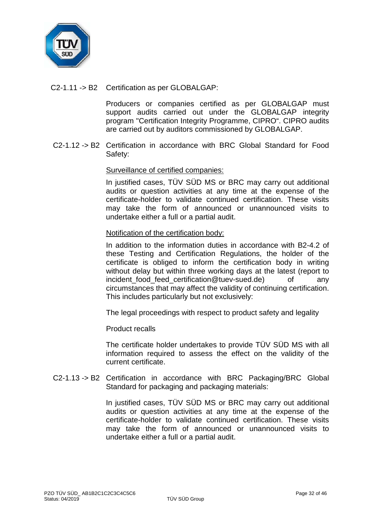

C2-1.11 -> B2 Certification as per GLOBALGAP:

Producers or companies certified as per GLOBALGAP must support audits carried out under the GLOBALGAP integrity program "Certification Integrity Programme, CIPRO". CIPRO audits are carried out by auditors commissioned by GLOBALGAP.

C2-1.12 -> B2 Certification in accordance with BRC Global Standard for Food Safety:

## Surveillance of certified companies:

In justified cases, TÜV SÜD MS or BRC may carry out additional audits or question activities at any time at the expense of the certificate-holder to validate continued certification. These visits may take the form of announced or unannounced visits to undertake either a full or a partial audit.

#### Notification of the certification body:

In addition to the information duties in accordance with B2-4.2 of these Testing and Certification Regulations, the holder of the certificate is obliged to inform the certification body in writing without delay but within three working days at the latest (report to incident food feed certification@tuev-sued.de) of any circumstances that may affect the validity of continuing certification. This includes particularly but not exclusively:

The legal proceedings with respect to product safety and legality

Product recalls

The certificate holder undertakes to provide TÜV SÜD MS with all information required to assess the effect on the validity of the current certificate.

C2-1.13 -> B2 Certification in accordance with BRC Packaging/BRC Global Standard for packaging and packaging materials:

> In justified cases, TÜV SÜD MS or BRC may carry out additional audits or question activities at any time at the expense of the certificate-holder to validate continued certification. These visits may take the form of announced or unannounced visits to undertake either a full or a partial audit.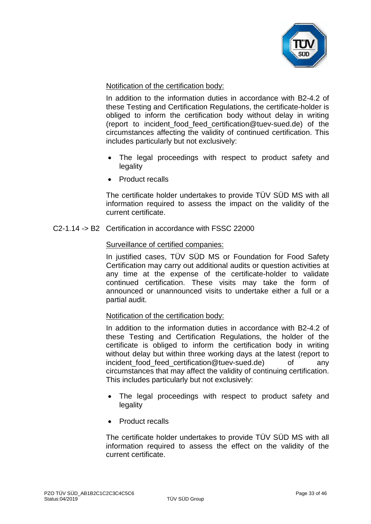

## Notification of the certification body:

In addition to the information duties in accordance with B2-4.2 of these Testing and Certification Regulations, the certificate-holder is obliged to inform the certification body without delay in writing (report to [incident\\_food\\_feed\\_certification@tuev-sued.de\)](mailto:incident_food_feed_certification@tuev-sued.de) of the circumstances affecting the validity of continued certification. This includes particularly but not exclusively:

- The legal proceedings with respect to product safety and legality
- Product recalls

The certificate holder undertakes to provide TÜV SÜD MS with all information required to assess the impact on the validity of the current certificate.

C2-1.14 -> B2 Certification in accordance with FSSC 22000

## Surveillance of certified companies:

In justified cases, TÜV SÜD MS or Foundation for Food Safety Certification may carry out additional audits or question activities at any time at the expense of the certificate-holder to validate continued certification. These visits may take the form of announced or unannounced visits to undertake either a full or a partial audit.

#### Notification of the certification body:

In addition to the information duties in accordance with B2-4.2 of these Testing and Certification Regulations, the holder of the certificate is obliged to inform the certification body in writing without delay but within three working days at the latest (report to [incident\\_food\\_feed\\_certification@tuev-sued.de\)](mailto:incident_food_feed_certification@tuev-sued.de) of any circumstances that may affect the validity of continuing certification. This includes particularly but not exclusively:

- The legal proceedings with respect to product safety and legality
- Product recalls

The certificate holder undertakes to provide TÜV SÜD MS with all information required to assess the effect on the validity of the current certificate.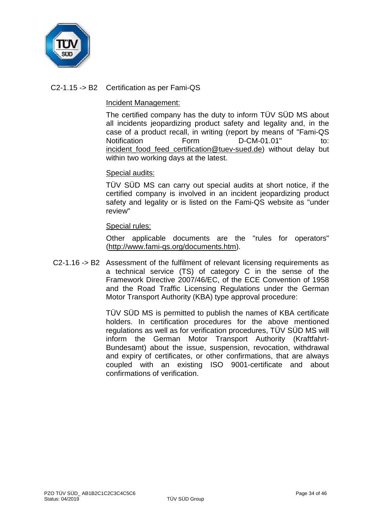

# C2-1.15 -> B2 Certification as per Fami-QS

#### Incident Management:

The certified company has the duty to inform TÜV SÜD MS about all incidents jeopardizing product safety and legality and, in the case of a product recall, in writing (report by means of "Fami-QS Notification Form D-CM-01.01" to: incident food feed certification@tuev-sued.de) without delay but within two working days at the latest.

## Special audits:

TÜV SÜD MS can carry out special audits at short notice, if the certified company is involved in an incident jeopardizing product safety and legality or is listed on the Fami-QS website as "under review"

## Special rules:

Other applicable documents are the "rules for operators" [\(http://www.fami-qs.org/documents.htm\)](http://www.tuev-sued.de/).

C2-1.16 -> B2 Assessment of the fulfilment of relevant licensing requirements as a technical service (TS) of category C in the sense of the Framework Directive 2007/46/EC, of the ECE Convention of 1958 and the Road Traffic Licensing Regulations under the German Motor Transport Authority (KBA) type approval procedure:

> TÜV SÜD MS is permitted to publish the names of KBA certificate holders. In certification procedures for the above mentioned regulations as well as for verification procedures, TÜV SÜD MS will inform the German Motor Transport Authority (Kraftfahrt-Bundesamt) about the issue, suspension, revocation, withdrawal and expiry of certificates, or other confirmations, that are always coupled with an existing ISO 9001-certificate and about confirmations of verification.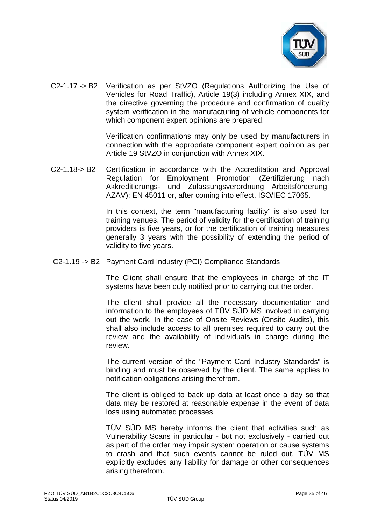

C2-1.17 -> B2 Verification as per StVZO (Regulations Authorizing the Use of Vehicles for Road Traffic), Article 19(3) including Annex XIX, and the directive governing the procedure and confirmation of quality system verification in the manufacturing of vehicle components for which component expert opinions are prepared:

> Verification confirmations may only be used by manufacturers in connection with the appropriate component expert opinion as per Article 19 StVZO in conjunction with Annex XIX.

C2-1.18-> B2 Certification in accordance with the Accreditation and Approval Regulation for Employment Promotion (Zertifizierung nach Akkreditierungs- und Zulassungsverordnung Arbeitsförderung, AZAV): EN 45011 or, after coming into effect, ISO/IEC 17065.

> In this context, the term "manufacturing facility" is also used for training venues. The period of validity for the certification of training providers is five years, or for the certification of training measures generally 3 years with the possibility of extending the period of validity to five years.

C2-1.19 -> B2 Payment Card Industry (PCI) Compliance Standards

The Client shall ensure that the employees in charge of the IT systems have been duly notified prior to carrying out the order.

The client shall provide all the necessary documentation and information to the employees of TÜV SÜD MS involved in carrying out the work. In the case of Onsite Reviews (Onsite Audits), this shall also include access to all premises required to carry out the review and the availability of individuals in charge during the review.

The current version of the "Payment Card Industry Standards" is binding and must be observed by the client. The same applies to notification obligations arising therefrom.

The client is obliged to back up data at least once a day so that data may be restored at reasonable expense in the event of data loss using automated processes.

TÜV SÜD MS hereby informs the client that activities such as Vulnerability Scans in particular - but not exclusively - carried out as part of the order may impair system operation or cause systems to crash and that such events cannot be ruled out. TÜV MS explicitly excludes any liability for damage or other consequences arising therefrom.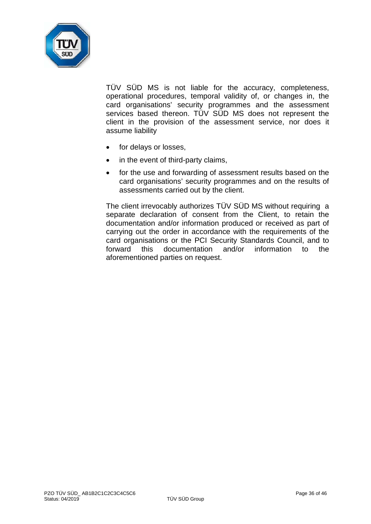

TÜV SÜD MS is not liable for the accuracy, completeness, operational procedures, temporal validity of, or changes in, the card organisations' security programmes and the assessment services based thereon. TÜV SÜD MS does not represent the client in the provision of the assessment service, nor does it assume liability

- for delays or losses,
- in the event of third-party claims,
- for the use and forwarding of assessment results based on the card organisations' security programmes and on the results of assessments carried out by the client.

The client irrevocably authorizes TÜV SÜD MS without requiring a separate declaration of consent from the Client, to retain the documentation and/or information produced or received as part of carrying out the order in accordance with the requirements of the card organisations or the PCI Security Standards Council, and to forward this documentation and/or information to the aforementioned parties on request.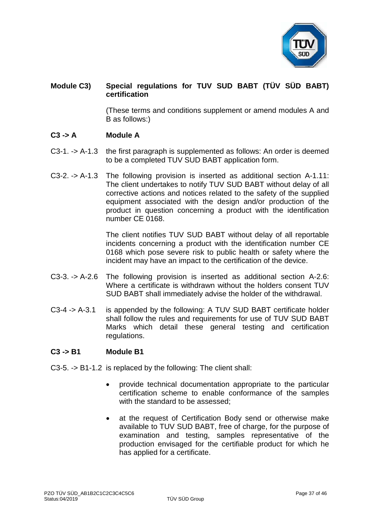

# **Module C3) Special regulations for TUV SUD BABT (TÜV SÜD BABT) certification**

(These terms and conditions supplement or amend modules A and B as follows:)

## **C3 -> A Module A**

- C3-1. -> A-1.3 the first paragraph is supplemented as follows: An order is deemed to be a completed TUV SUD BABT application form.
- C3-2. -> A-1.3 The following provision is inserted as additional section A-1.11: The client undertakes to notify TUV SUD BABT without delay of all corrective actions and notices related to the safety of the supplied equipment associated with the design and/or production of the product in question concerning a product with the identification number CE 0168.

The client notifies TUV SUD BABT without delay of all reportable incidents concerning a product with the identification number CE 0168 which pose severe risk to public health or safety where the incident may have an impact to the certification of the device.

- C3-3. -> A-2.6 The following provision is inserted as additional section A-2.6: Where a certificate is withdrawn without the holders consent TUV SUD BABT shall immediately advise the holder of the withdrawal.
- C3-4 -> A-3.1 is appended by the following: A TUV SUD BABT certificate holder shall follow the rules and requirements for use of TUV SUD BABT Marks which detail these general testing and certification regulations.

#### **C3 -> B1 Module B1**

- C3-5. -> B1-1.2 is replaced by the following: The client shall:
	- provide technical documentation appropriate to the particular certification scheme to enable conformance of the samples with the standard to be assessed:
	- at the request of Certification Body send or otherwise make available to TUV SUD BABT, free of charge, for the purpose of examination and testing, samples representative of the production envisaged for the certifiable product for which he has applied for a certificate.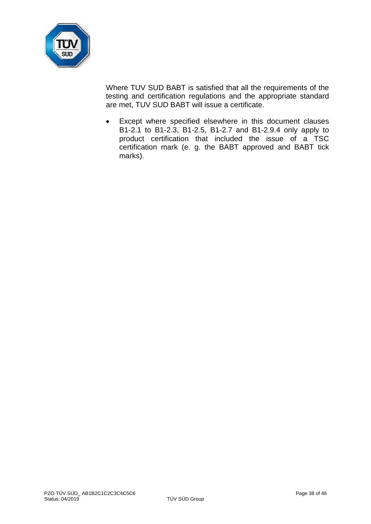

Where TUV SUD BABT is satisfied that all the requirements of the testing and certification regulations and the appropriate standard are met, TUV SUD BABT will issue a certificate.

• Except where specified elsewhere in this document clauses B1-2.1 to B1-2.3, B1-2.5, B1-2.7 and B1-2.9.4 only apply to product certification that included the issue of a TSC certification mark (e. g. the BABT approved and BABT tick marks).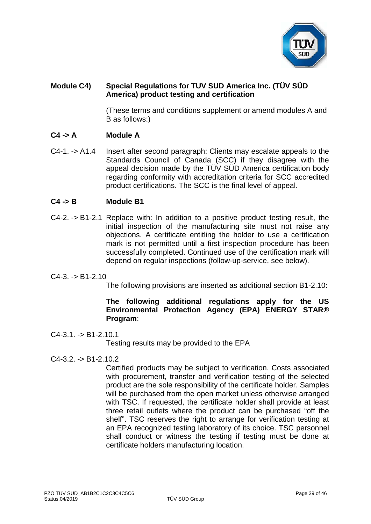

# **Module C4) Special Regulations for TUV SUD America Inc. (TÜV SÜD America) product testing and certification**

(These terms and conditions supplement or amend modules A and B as follows:)

# **C4 -> A Module A**

C4-1. -> A1.4 Insert after second paragraph: Clients may escalate appeals to the Standards Council of Canada (SCC) if they disagree with the appeal decision made by the TÜV SÜD America certification body regarding conformity with accreditation criteria for SCC accredited product certifications. The SCC is the final level of appeal.

# **C4 -> B Module B1**

C4-2. -> B1-2.1 Replace with: In addition to a positive product testing result, the initial inspection of the manufacturing site must not raise any objections. A certificate entitling the holder to use a certification mark is not permitted until a first inspection procedure has been successfully completed. Continued use of the certification mark will depend on regular inspections (follow-up-service, see below).

## $C4-3. -> B1-2.10$

The following provisions are inserted as additional section B1-2.10:

# **The following additional regulations apply for the US Environmental Protection Agency (EPA) ENERGY STAR® Program**:

#### $C4-3.1. -D B1-2.10.1$

Testing results may be provided to the EPA

## $C4-3.2. -D B1-2.10.2$

Certified products may be subject to verification. Costs associated with procurement, transfer and verification testing of the selected product are the sole responsibility of the certificate holder. Samples will be purchased from the open market unless otherwise arranged with TSC. If requested, the certificate holder shall provide at least three retail outlets where the product can be purchased "off the shelf". TSC reserves the right to arrange for verification testing at an EPA recognized testing laboratory of its choice. TSC personnel shall conduct or witness the testing if testing must be done at certificate holders manufacturing location.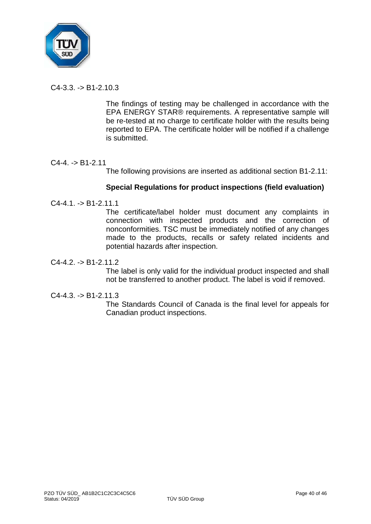

 $C4-3.3 - D5.191-2.10.3$ 

The findings of testing may be challenged in accordance with the EPA ENERGY STAR® requirements. A representative sample will be re-tested at no charge to certificate holder with the results being reported to EPA. The certificate holder will be notified if a challenge is submitted.

# $C4-4. -> B1-2.11$

The following provisions are inserted as additional section B1-2.11:

## **Special Regulations for product inspections (field evaluation)**

 $C4-4.1. \rightarrow B1-2.11.1$ 

The certificate/label holder must document any complaints in connection with inspected products and the correction of nonconformities. TSC must be immediately notified of any changes made to the products, recalls or safety related incidents and potential hazards after inspection.

 $C4-4.2. \rightarrow B1-2.11.2$ 

The label is only valid for the individual product inspected and shall not be transferred to another product. The label is void if removed.

 $C4-4.3 \rightarrow B1-2.11.3$ 

The Standards Council of Canada is the final level for appeals for Canadian product inspections.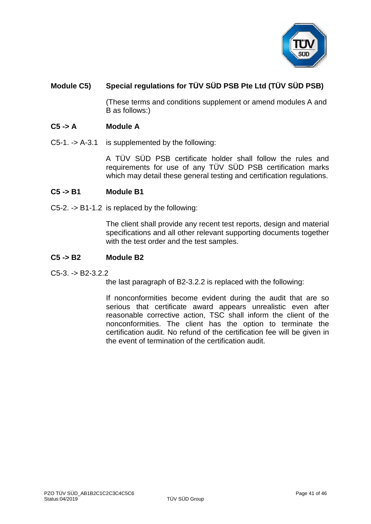

# **Module C5) Special regulations for TÜV SÜD PSB Pte Ltd (TÜV SÜD PSB)**

(These terms and conditions supplement or amend modules A and B as follows:)

## **C5 -> A Module A**

C5-1. -> A-3.1 is supplemented by the following:

A TÜV SÜD PSB certificate holder shall follow the rules and requirements for use of any TÜV SÜD PSB certification marks which may detail these general testing and certification regulations.

#### **C5 -> B1 Module B1**

C5-2. -> B1-1.2 is replaced by the following:

The client shall provide any recent test reports, design and material specifications and all other relevant supporting documents together with the test order and the test samples.

#### **C5 -> B2 Module B2**

 $C5-3. -> B2-3.2.2$ 

the last paragraph of B2-3.2.2 is replaced with the following:

If nonconformities become evident during the audit that are so serious that certificate award appears unrealistic even after reasonable corrective action, TSC shall inform the client of the nonconformities. The client has the option to terminate the certification audit. No refund of the certification fee will be given in the event of termination of the certification audit.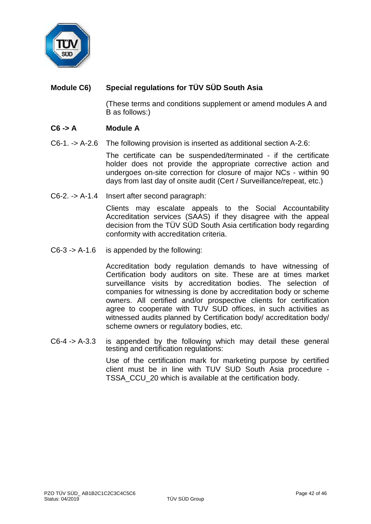

# **Module C6) Special regulations for TÜV SÜD South Asia**

(These terms and conditions supplement or amend modules A and B as follows:)

# **C6 -> A Module A**

C6-1. -> A-2.6 The following provision is inserted as additional section A-2.6:

The certificate can be suspended/terminated - if the certificate holder does not provide the appropriate corrective action and undergoes on-site correction for closure of major NCs - within 90 days from last day of onsite audit (Cert / Surveillance/repeat, etc.)

C6-2. -> A-1.4 Insert after second paragraph:

Clients may escalate appeals to the Social Accountability Accreditation services (SAAS) if they disagree with the appeal decision from the TÜV SÜD South Asia certification body regarding conformity with accreditation criteria.

C6-3 -> A-1.6 is appended by the following:

Accreditation body regulation demands to have witnessing of Certification body auditors on site. These are at times market surveillance visits by accreditation bodies. The selection of companies for witnessing is done by accreditation body or scheme owners. All certified and/or prospective clients for certification agree to cooperate with TUV SUD offices, in such activities as witnessed audits planned by Certification body/ accreditation body/ scheme owners or regulatory bodies, etc.

C6-4 -> A-3.3 is appended by the following which may detail these general testing and certification regulations:

> Use of the certification mark for marketing purpose by certified client must be in line with TUV SUD South Asia procedure - TSSA\_CCU\_20 which is available at the certification body.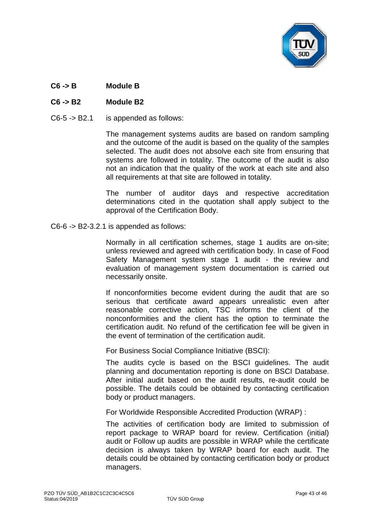

# **C6 -> B Module B**

# **C6 -> B2 Module B2**

C6-5 -> B2.1 is appended as follows:

The management systems audits are based on random sampling and the outcome of the audit is based on the quality of the samples selected. The audit does not absolve each site from ensuring that systems are followed in totality. The outcome of the audit is also not an indication that the quality of the work at each site and also all requirements at that site are followed in totality.

The number of auditor days and respective accreditation determinations cited in the quotation shall apply subject to the approval of the Certification Body.

C6-6 -> B2-3.2.1 is appended as follows:

Normally in all certification schemes, stage 1 audits are on-site; unless reviewed and agreed with certification body. In case of Food Safety Management system stage 1 audit - the review and evaluation of management system documentation is carried out necessarily onsite.

If nonconformities become evident during the audit that are so serious that certificate award appears unrealistic even after reasonable corrective action, TSC informs the client of the nonconformities and the client has the option to terminate the certification audit. No refund of the certification fee will be given in the event of termination of the certification audit.

For Business Social Compliance Initiative (BSCI):

The audits cycle is based on the BSCI guidelines. The audit planning and documentation reporting is done on BSCI Database. After initial audit based on the audit results, re-audit could be possible. The details could be obtained by contacting certification body or product managers.

For Worldwide Responsible Accredited Production (WRAP) :

The activities of certification body are limited to submission of report package to WRAP board for review. Certification (initial) audit or Follow up audits are possible in WRAP while the certificate decision is always taken by WRAP board for each audit. The details could be obtained by contacting certification body or product managers.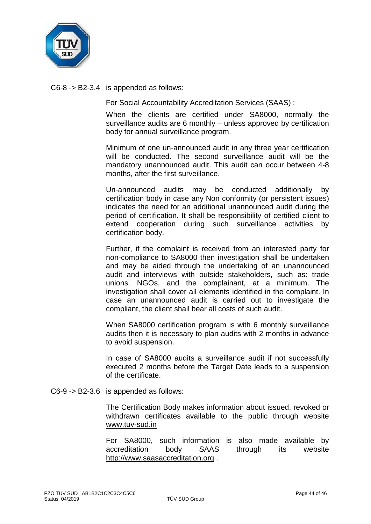

C6-8 -> B2-3.4 is appended as follows:

For Social Accountability Accreditation Services (SAAS) :

When the clients are certified under SA8000, normally the surveillance audits are 6 monthly – unless approved by certification body for annual surveillance program.

Minimum of one un-announced audit in any three year certification will be conducted. The second surveillance audit will be the mandatory unannounced audit. This audit can occur between 4-8 months, after the first surveillance.

Un-announced audits may be conducted additionally by certification body in case any Non conformity (or persistent issues) indicates the need for an additional unannounced audit during the period of certification. It shall be responsibility of certified client to extend cooperation during such surveillance activities by certification body.

Further, if the complaint is received from an interested party for non-compliance to SA8000 then investigation shall be undertaken and may be aided through the undertaking of an unannounced audit and interviews with outside stakeholders, such as: trade unions, NGOs, and the complainant, at a minimum. The investigation shall cover all elements identified in the complaint. In case an unannounced audit is carried out to investigate the compliant, the client shall bear all costs of such audit.

When SA8000 certification program is with 6 monthly surveillance audits then it is necessary to plan audits with 2 months in advance to avoid suspension.

In case of SA8000 audits a surveillance audit if not successfully executed 2 months before the Target Date leads to a suspension of the certificate.

C6-9 -> B2-3.6 is appended as follows:

The Certification Body makes information about issued, revoked or withdrawn certificates available to the public through website [www.tuv-sud.in](http://www.tuv-sud.in/)

For SA8000, such information is also made available by accreditation body SAAS through its website [http://www.saasaccreditation.org](http://www.saasaccreditation.org/) .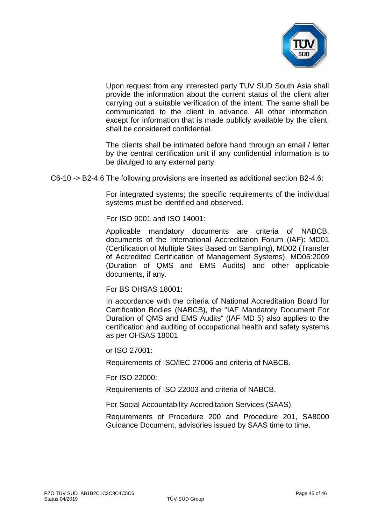

Upon request from any interested party TUV SUD South Asia shall provide the information about the current status of the client after carrying out a suitable verification of the intent. The same shall be communicated to the client in advance. All other information, except for information that is made publicly available by the client, shall be considered confidential.

The clients shall be intimated before hand through an email / letter by the central certification unit if any confidential information is to be divulged to any external party.

C6-10 -> B2-4.6 The following provisions are inserted as additional section B2-4.6:

For integrated systems; the specific requirements of the individual systems must be identified and observed.

For ISO 9001 and ISO 14001:

Applicable mandatory documents are criteria of NABCB, documents of the International Accreditation Forum (IAF): MD01 (Certification of Multiple Sites Based on Sampling), MD02 (Transfer of Accredited Certification of Management Systems), MD05:2009 (Duration of QMS and EMS Audits) and other applicable documents, if any.

For BS OHSAS 18001:

In accordance with the criteria of National Accreditation Board for Certification Bodies (NABCB), the "IAF Mandatory Document For Duration of QMS and EMS Audits" (IAF MD 5) also applies to the certification and auditing of occupational health and safety systems as per OHSAS 18001

or ISO 27001:

Requirements of ISO/IEC 27006 and criteria of NABCB.

For ISO 22000:

Requirements of ISO 22003 and criteria of NABCB.

For Social Accountability Accreditation Services (SAAS):

Requirements of Procedure 200 and Procedure 201, SA8000 Guidance Document, advisories issued by SAAS time to time.